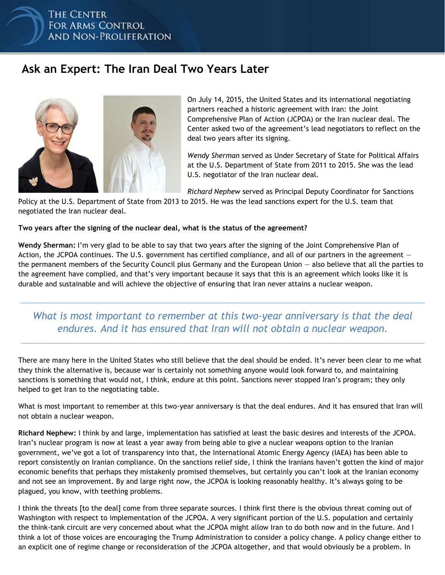### THE CENTER **FOR ARMS CONTROL AND NON-PROLIFERATION**

# **Ask an Expert: The Iran Deal Two Years Later**



On July 14, 2015, the United States and its international negotiating partners reached a historic agreement with Iran: the Joint Comprehensive Plan of Action (JCPOA) or the Iran nuclear deal. The Center asked two of the agreement's lead negotiators to reflect on the deal two years after its signing.

*Wendy Sherman* served as Under Secretary of State for Political Affairs at the U.S. Department of State from 2011 to 2015. She was the lead U.S. negotiator of the Iran nuclear deal.

*Richard Nephew* served as Principal Deputy Coordinator for Sanctions

Policy at the U.S. Department of State from 2013 to 2015. He was the lead sanctions expert for the U.S. team that negotiated the Iran nuclear deal.

#### **Two years after the signing of the nuclear deal, what is the status of the agreement?**

**Wendy Sherman:** I'm very glad to be able to say that two years after the signing of the Joint Comprehensive Plan of Action, the JCPOA continues. The U.S. government has certified compliance, and all of our partners in the agreement  $$ the permanent members of the Security Council plus Germany and the European Union — also believe that all the parties to the agreement have complied, and that's very important because it says that this is an agreement which looks like it is durable and sustainable and will achieve the objective of ensuring that Iran never attains a nuclear weapon.

### *What is most important to remember at this two-year anniversary is that the deal endures. And it has ensured that Iran will not obtain a nuclear weapon.*

There are many here in the United States who still believe that the deal should be ended. It's never been clear to me what they think the alternative is, because war is certainly not something anyone would look forward to, and maintaining sanctions is something that would not, I think, endure at this point. Sanctions never stopped Iran's program; they only helped to get Iran to the negotiating table.

What is most important to remember at this two-year anniversary is that the deal endures. And it has ensured that Iran will not obtain a nuclear weapon.

**Richard Nephew:** I think by and large, implementation has satisfied at least the basic desires and interests of the JCPOA. Iran's nuclear program is now at least a year away from being able to give a nuclear weapons option to the Iranian government, we've got a lot of transparency into that, the International Atomic Energy Agency (IAEA) has been able to report consistently on Iranian compliance. On the sanctions relief side, I think the Iranians haven't gotten the kind of major economic benefits that perhaps they mistakenly promised themselves, but certainly you can't look at the Iranian economy and not see an improvement. By and large right now, the JCPOA is looking reasonably healthy. It's always going to be plagued, you know, with teething problems.

I think the threats [to the deal] come from three separate sources. I think first there is the obvious threat coming out of Washington with respect to implementation of the JCPOA. A very significant portion of the U.S. population and certainly the think-tank circuit are very concerned about what the JCPOA might allow Iran to do both now and in the future. And I think a lot of those voices are encouraging the Trump Administration to consider a policy change. A policy change either to an explicit one of regime change or reconsideration of the JCPOA altogether, and that would obviously be a problem. In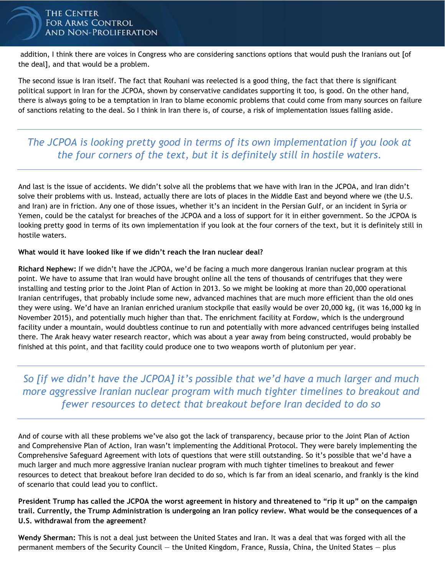#### **THE CENTER FOR ARMS CONTROL AND NON-PROLIFERATION**

addition, I think there are voices in Congress who are considering sanctions options that would push the Iranians out [of the deal], and that would be a problem.

The second issue is Iran itself. The fact that Rouhani was reelected is a good thing, the fact that there is significant political support in Iran for the JCPOA, shown by conservative candidates supporting it too, is good. On the other hand, there is always going to be a temptation in Iran to blame economic problems that could come from many sources on failure of sanctions relating to the deal. So I think in Iran there is, of course, a risk of implementation issues falling aside.

### *The JCPOA is looking pretty good in terms of its own implementation if you look at the four corners of the text, but it is definitely still in hostile waters.*

And last is the issue of accidents. We didn't solve all the problems that we have with Iran in the JCPOA, and Iran didn't solve their problems with us. Instead, actually there are lots of places in the Middle East and beyond where we (the U.S. and Iran) are in friction. Any one of those issues, whether it's an incident in the Persian Gulf, or an incident in Syria or Yemen, could be the catalyst for breaches of the JCPOA and a loss of support for it in either government. So the JCPOA is looking pretty good in terms of its own implementation if you look at the four corners of the text, but it is definitely still in hostile waters.

#### **What would it have looked like if we didn't reach the Iran nuclear deal?**

**Richard Nephew:** If we didn't have the JCPOA, we'd be facing a much more dangerous Iranian nuclear program at this point. We have to assume that Iran would have brought online all the tens of thousands of centrifuges that they were installing and testing prior to the Joint Plan of Action in 2013. So we might be looking at more than 20,000 operational Iranian centrifuges, that probably include some new, advanced machines that are much more efficient than the old ones they were using. We'd have an Iranian enriched uranium stockpile that easily would be over 20,000 kg, (it was 16,000 kg in November 2015), and potentially much higher than that. The enrichment facility at Fordow, which is the underground facility under a mountain, would doubtless continue to run and potentially with more advanced centrifuges being installed there. The Arak heavy water research reactor, which was about a year away from being constructed, would probably be finished at this point, and that facility could produce one to two weapons worth of plutonium per year.

*So [if we didn't have the JCPOA] it's possible that we'd have a much larger and much more aggressive Iranian nuclear program with much tighter timelines to breakout and fewer resources to detect that breakout before Iran decided to do so*

And of course with all these problems we've also got the lack of transparency, because prior to the Joint Plan of Action and Comprehensive Plan of Action, Iran wasn't implementing the Additional Protocol. They were barely implementing the Comprehensive Safeguard Agreement with lots of questions that were still outstanding. So it's possible that we'd have a much larger and much more aggressive Iranian nuclear program with much tighter timelines to breakout and fewer resources to detect that breakout before Iran decided to do so, which is far from an ideal scenario, and frankly is the kind of scenario that could lead you to conflict.

**President Trump has called the JCPOA the worst agreement in history and threatened to "rip it up" on the campaign trail. Currently, the Trump Administration is undergoing an Iran policy review. What would be the consequences of a U.S. withdrawal from the agreement?**

**Wendy Sherman:** This is not a deal just between the United States and Iran. It was a deal that was forged with all the permanent members of the Security Council — the United Kingdom, France, Russia, China, the United States — plus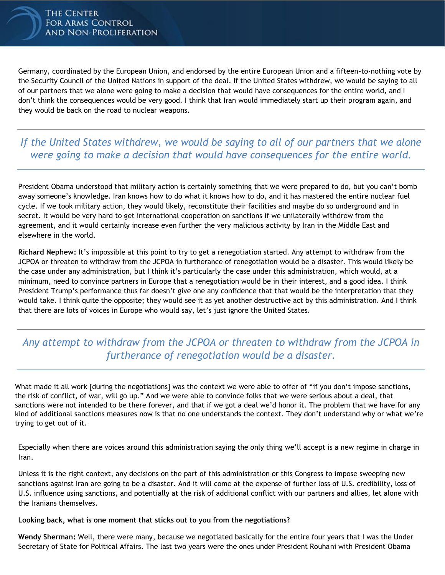Germany, coordinated by the European Union, and endorsed by the entire European Union and a fifteen-to-nothing vote by the Security Council of the United Nations in support of the deal. If the United States withdrew, we would be saying to all of our partners that we alone were going to make a decision that would have consequences for the entire world, and I don't think the consequences would be very good. I think that Iran would immediately start up their program again, and they would be back on the road to nuclear weapons.

### *If the United States withdrew, we would be saying to all of our partners that we alone were going to make a decision that would have consequences for the entire world.*

President Obama understood that military action is certainly something that we were prepared to do, but you can't bomb away someone's knowledge. Iran knows how to do what it knows how to do, and it has mastered the entire nuclear fuel cycle. If we took military action, they would likely, reconstitute their facilities and maybe do so underground and in secret. It would be very hard to get international cooperation on sanctions if we unilaterally withdrew from the agreement, and it would certainly increase even further the very malicious activity by Iran in the Middle East and elsewhere in the world.

**Richard Nephew:** It's impossible at this point to try to get a renegotiation started. Any attempt to withdraw from the JCPOA or threaten to withdraw from the JCPOA in furtherance of renegotiation would be a disaster. This would likely be the case under any administration, but I think it's particularly the case under this administration, which would, at a minimum, need to convince partners in Europe that a renegotiation would be in their interest, and a good idea. I think President Trump's performance thus far doesn't give one any confidence that that would be the interpretation that they would take. I think quite the opposite; they would see it as yet another destructive act by this administration. And I think that there are lots of voices in Europe who would say, let's just ignore the United States.

## *Any attempt to withdraw from the JCPOA or threaten to withdraw from the JCPOA in furtherance of renegotiation would be a disaster.*

What made it all work *[during the negotiations]* was the context we were able to offer of "if you don't impose sanctions, the risk of conflict, of war, will go up." And we were able to convince folks that we were serious about a deal, that sanctions were not intended to be there forever, and that if we got a deal we'd honor it. The problem that we have for any kind of additional sanctions measures now is that no one understands the context. They don't understand why or what we're trying to get out of it.

Especially when there are voices around this administration saying the only thing we'll accept is a new regime in charge in Iran.

Unless it is the right context, any decisions on the part of this administration or this Congress to impose sweeping new sanctions against Iran are going to be a disaster. And it will come at the expense of further loss of U.S. credibility, loss of U.S. influence using sanctions, and potentially at the risk of additional conflict with our partners and allies, let alone with the Iranians themselves.

#### **Looking back, what is one moment that sticks out to you from the negotiations?**

**Wendy Sherman:** Well, there were many, because we negotiated basically for the entire four years that I was the Under Secretary of State for Political Affairs. The last two years were the ones under President Rouhani with President Obama